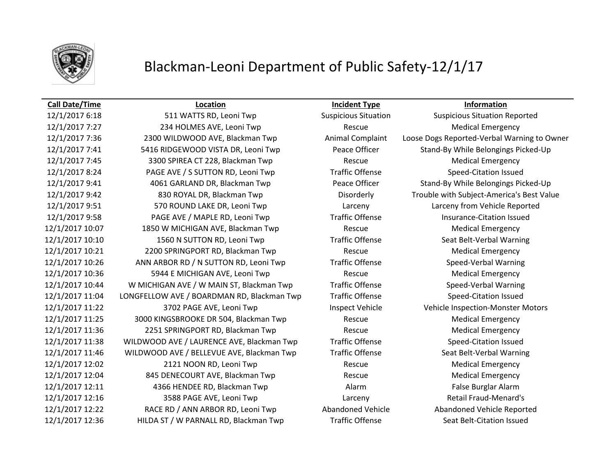

## **Call Date/Time Location Incident Type Information**

12/1/2017 6:18 511 WATTS RD, Leoni Twp Suspicious Situation Suspicious Situation Reported 12/1/2017 7:27 234 HOLMES AVE, Leoni Twp Rescue Medical Emergency 12/1/2017 7:36 2300 WILDWOOD AVE, Blackman Twp Animal Complaint Loose Dogs Reported-Verbal Warning to Owner 12/1/2017 7:41 5416 RIDGEWOOD VISTA DR, Leoni Twp Peace Officer Stand-By While Belongings Picked-Up 12/1/2017 7:45 3300 SPIREA CT 228, Blackman Twp Rescue Medical Emergency 12/1/2017 8:24 PAGE AVE / S SUTTON RD, Leoni Twp Traffic Offense Speed-Citation Issued 12/1/2017 9:41 4061 GARLAND DR, Blackman Twp Peace Officer Stand-By While Belongings Picked-Up 12/1/2017 9:42 830 ROYAL DR, Blackman Twp Disorderly Trouble with Subject-America's Best Value 12/1/2017 9:51 570 ROUND LAKE DR, Leoni Twp Larceny Larceny from Vehicle Reported 12/1/2017 9:58 PAGE AVE / MAPLE RD, Leoni Twp Traffic Offense Insurance-Citation Issued 12/1/2017 10:07 1850 W MICHIGAN AVE, Blackman Twp Rescue Medical Emergency 12/1/2017 10:10 1560 N SUTTON RD, Leoni Twp Traffic Offense Seat Belt-Verbal Warning 12/1/2017 10:21 2200 SPRINGPORT RD, Blackman Twp Rescue Medical Emergency 12/1/2017 10:26 ANN ARBOR RD / N SUTTON RD, Leoni Twp Traffic Offense Speed-Verbal Warning 12/1/2017 10:36 5944 E MICHIGAN AVE, Leoni Twp Rescue Rescue Medical Emergency 12/1/2017 10:44 W MICHIGAN AVE / W MAIN ST, Blackman Twp Traffic Offense Speed-Verbal Warning 12/1/2017 11:04 LONGFELLOW AVE / BOARDMAN RD, Blackman Twp Traffic Offense Speed-Citation Issued 12/1/2017 11:22 3702 PAGE AVE, Leoni Twp Inspect Vehicle Vehicle Vehicle Inspection-Monster Motors 12/1/2017 11:25 3000 KINGSBROOKE DR 504, Blackman Twp Rescue Medical Emergency 12/1/2017 11:36 2251 SPRINGPORT RD, Blackman Twp Rescue Medical Emergency 12/1/2017 11:38 WILDWOOD AVE / LAURENCE AVE, Blackman Twp Traffic Offense Speed-Citation Issued 12/1/2017 11:46 WILDWOOD AVE / BELLEVUE AVE, Blackman Twp Traffic Offense Seat Belt-Verbal Warning 12/1/2017 12:02 2121 NOON RD, Leoni Twp Rescue Rescue Medical Emergency 12/1/2017 12:04 845 DENECOURT AVE, Blackman Twp Rescue Medical Emergency 12/1/2017 12:11 4366 HENDEE RD, Blackman Twp Alarm False Burglar Alarm 12/1/2017 12:16 3588 PAGE AVE, Leoni Twp Larceny Retail Fraud-Menard's 12/1/2017 12:22 RACE RD / ANN ARBOR RD, Leoni Twp Abandoned Vehicle Abandoned Vehicle Reported 12/1/2017 12:36 HILDA ST / W PARNALL RD, Blackman Twp Traffic Offense Seat Belt-Citation Issued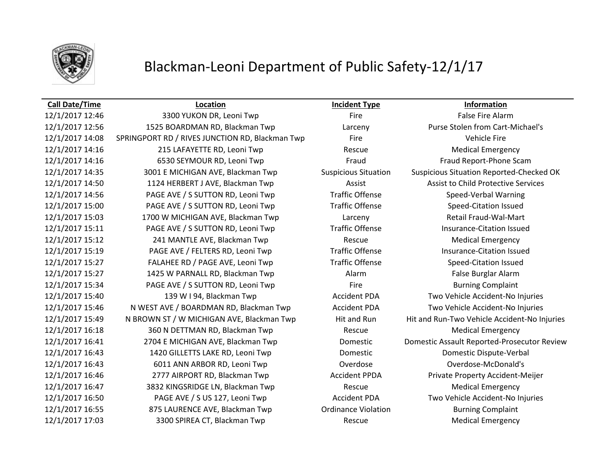

## **Call Date/Time Location Incident Type Information**

12/1/2017 12:46 3300 YUKON DR, Leoni Twp Fire Fire Fire False Fire Alarm 12/1/2017 12:56 1525 BOARDMAN RD, Blackman Twp Larceny Purse Stolen from Cart-Michael's 12/1/2017 14:08 SPRINGPORT RD / RIVES JUNCTION RD, Blackman Twp Fire Fire Vehicle Fire 12/1/2017 14:16 215 LAFAYETTE RD, Leoni Twp Rescue Medical Emergency 12/1/2017 14:16 6530 SEYMOUR RD, Leoni Twp Fraud Fraud Fraud Fraud Report-Phone Scam 12/1/2017 14:35 3001 E MICHIGAN AVE, Blackman Twp Suspicious Situation Suspicious Situation Reported-Checked OK 12/1/2017 14:50 1124 HERBERT J AVE, Blackman Twp Assist Assist to Child Protective Services 12/1/2017 14:56 PAGE AVE / S SUTTON RD, Leoni Twp Traffic Offense Speed-Verbal Warning 12/1/2017 15:00 PAGE AVE / S SUTTON RD, Leoni Twp Traffic Offense Speed-Citation Issued 12/1/2017 15:03 1700 W MICHIGAN AVE, Blackman Twp Larceny Retail Fraud-Wal-Mart 12/1/2017 15:11 PAGE AVE / S SUTTON RD, Leoni Twp Traffic Offense Insurance-Citation Issued 12/1/2017 15:12 241 MANTLE AVE, Blackman Twp Rescue Rescue Medical Emergency 12/1/2017 15:19 PAGE AVE / FELTERS RD, Leoni Twp Traffic Offense Insurance-Citation Issued 12/1/2017 15:27 FALAHEE RD / PAGE AVE, Leoni Twp Traffic Offense Speed-Citation Issued 12/1/2017 15:27 1425 W PARNALL RD, Blackman Twp Alarm False Burglar Alarm 12/1/2017 15:34 PAGE AVE / S SUTTON RD, Leoni Twp Fire Fire Burning Complaint 12/1/2017 15:40 139 W I 94, Blackman Twp Accident PDA Two Vehicle Accident-No Injuries 12/1/2017 15:46 N WEST AVE / BOARDMAN RD, Blackman Twp Accident PDA Two Vehicle Accident-No Injuries 12/1/2017 15:49 N BROWN ST / W MICHIGAN AVE, Blackman Twp Hit and Run Hit and Run-Two Vehicle Accident-No Injuries 12/1/2017 16:18 360 N DETTMAN RD, Blackman Twp Rescue Rescue Medical Emergency 12/1/2017 16:41 2704 E MICHIGAN AVE, Blackman Twp Domestic Domestic Assault Reported-Prosecutor Review 12/1/2017 16:43 1420 GILLETTS LAKE RD, Leoni Twp Domestic Domestic Dispute-Verbal 12/1/2017 16:43 6011 ANN ARBOR RD, Leoni Twp Overdose Overdose-McDonald's 12/1/2017 16:46 2777 AIRPORT RD, Blackman Twp Accident PPDA Private Property Accident-Meijer 12/1/2017 16:47 3832 KINGSRIDGE LN, Blackman Twp Rescue Medical Emergency 12/1/2017 16:50 PAGE AVE / S US 127, Leoni Twp Accident PDA Two Vehicle Accident-No Injuries 12/1/2017 16:55 875 LAURENCE AVE, Blackman Twp **Ordinance Violation** Burning Complaint 12/1/2017 17:03 3300 SPIREA CT, Blackman Twp Rescue Rescue Medical Emergency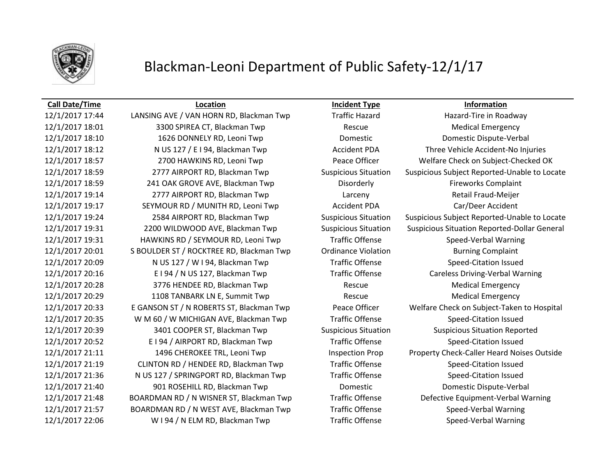

## **Call Date/Time Location Incident Type Information**

12/1/2017 17:44 LANSING AVE / VAN HORN RD, Blackman Twp Traffic Hazard Hazard-Tire in Roadway 12/1/2017 18:01 3300 SPIREA CT, Blackman Twp Rescue Medical Emergency 12/1/2017 18:10 1626 DONNELY RD, Leoni Twp Domestic Domestic Dispute-Verbal 12/1/2017 18:12 N US 127 / E I 94, Blackman Twp Accident PDA Three Vehicle Accident-No Injuries 12/1/2017 18:57 2700 HAWKINS RD, Leoni Twp Peace Officer Welfare Check on Subject-Checked OK 12/1/2017 18:59 2777 AIRPORT RD, Blackman Twp Suspicious Situation Suspicious Subject Reported-Unable to Locate 12/1/2017 18:59 241 OAK GROVE AVE, Blackman Twp Disorderly Disorderly Fireworks Complaint 12/1/2017 19:14 2777 AIRPORT RD, Blackman Twp Larceny Retail Fraud-Meijer 12/1/2017 19:17 SEYMOUR RD / MUNITH RD, Leoni Twp Accident PDA Car/Deer Accident 12/1/2017 19:24 2584 AIRPORT RD, Blackman Twp Suspicious Situation Suspicious Subject Reported-Unable to Locate 12/1/2017 19:31 2200 WILDWOOD AVE, Blackman Twp Suspicious Situation Suspicious Situation Reported-Dollar General 12/1/2017 19:31 HAWKINS RD / SEYMOUR RD, Leoni Twp Traffic Offense Speed-Verbal Warning 12/1/2017 20:01 S BOULDER ST / ROCKTREE RD, Blackman Twp Ordinance Violation Burning Complaint 12/1/2017 20:09 N US 127 / W I 94, Blackman Twp Traffic Offense Speed-Citation Issued 12/1/2017 20:16 E I 94 / N US 127, Blackman Twp Traffic Offense Careless Driving-Verbal Warning 12/1/2017 20:28 3776 HENDEE RD, Blackman Twp Rescue Medical Emergency 12/1/2017 20:29 1108 TANBARK LN E, Summit Twp Rescue Medical Emergency 12/1/2017 20:33 E GANSON ST / N ROBERTS ST, Blackman Twp Peace Officer Welfare Check on Subject-Taken to Hospital 12/1/2017 20:35 W M 60 / W MICHIGAN AVE, Blackman Twp Traffic Offense Speed-Citation Issued 12/1/2017 20:39 3401 COOPER ST, Blackman Twp Suspicious Situation Suspicious Situation Reported 12/1/2017 20:52 E I 94 / AIRPORT RD, Blackman Twp Traffic Offense Speed-Citation Issued 12/1/2017 21:11 1496 CHEROKEE TRL, Leoni Twp Inspection Prop Property Check-Caller Heard Noises Outside 12/1/2017 21:19 CLINTON RD / HENDEE RD, Blackman Twp Traffic Offense Speed-Citation Issued 12/1/2017 21:36 N US 127 / SPRINGPORT RD, Blackman Twp Traffic Offense Speed-Citation Issued 12/1/2017 21:40 901 ROSEHILL RD, Blackman Twp Domestic Domestic Dispute-Verbal 12/1/2017 21:48 BOARDMAN RD / N WISNER ST, Blackman Twp Traffic Offense Defective Equipment-Verbal Warning 12/1/2017 21:57 BOARDMAN RD / N WEST AVE, Blackman Twp Traffic Offense Speed-Verbal Warning 12/1/2017 22:06 W I 94 / N ELM RD, Blackman Twp Traffic Offense Speed-Verbal Warning